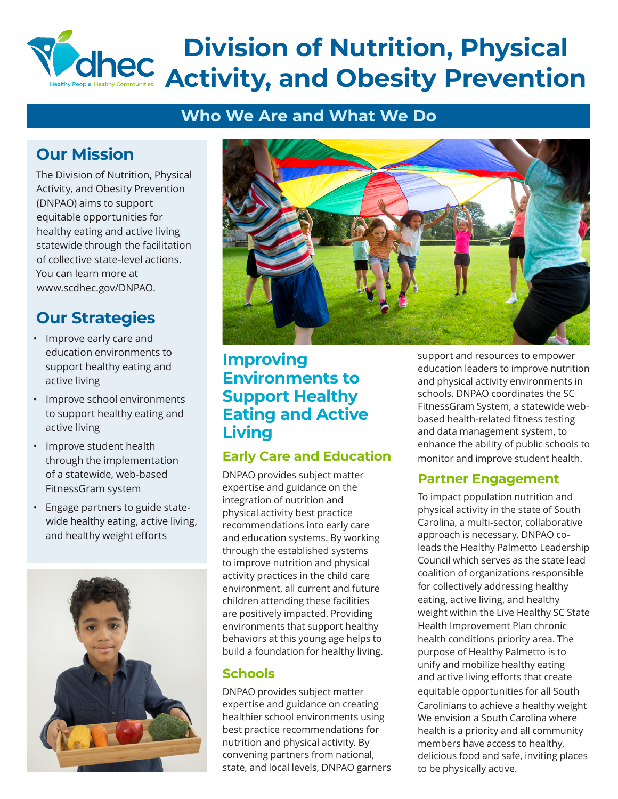# **Division of Nutrition, Physical Activity, and Obesity Prevention**

## **Who We Are and What We Do**

# **Our Mission**

The Division of Nutrition, Physical Activity, and Obesity Prevention (DNPAO) aims to support equitable opportunities for healthy eating and active living statewide through the facilitation of collective state-level actions. You can learn more at www.scdhec.gov/DNPAO.

# **Our Strategies**

- Improve early care and education environments to support healthy eating and active living
- Improve school environments to support healthy eating and active living
- Improve student health through the implementation of a statewide, web-based FitnessGram system
- Engage partners to guide statewide healthy eating, active living, and healthy weight efforts





## **Improving Environments to Support Healthy Eating and Active Living**

## **Early Care and Education**

DNPAO provides subject matter expertise and guidance on the integration of nutrition and physical activity best practice recommendations into early care and education systems. By working through the established systems to improve nutrition and physical activity practices in the child care environment, all current and future children attending these facilities are positively impacted. Providing environments that support healthy behaviors at this young age helps to build a foundation for healthy living.

## **Schools**

DNPAO provides subject matter expertise and guidance on creating healthier school environments using best practice recommendations for nutrition and physical activity. By convening partners from national, state, and local levels, DNPAO garners support and resources to empower education leaders to improve nutrition and physical activity environments in schools. DNPAO coordinates the SC FitnessGram System, a statewide webbased health-related fitness testing and data management system, to enhance the ability of public schools to monitor and improve student health.

## **Partner Engagement**

To impact population nutrition and physical activity in the state of South Carolina, a multi-sector, collaborative approach is necessary. DNPAO coleads the Healthy Palmetto Leadership Council which serves as the state lead coalition of organizations responsible for collectively addressing healthy eating, active living, and healthy weight within the Live Healthy SC State Health Improvement Plan chronic health conditions priority area. The purpose of Healthy Palmetto is to unify and mobilize healthy eating and active living efforts that create equitable opportunities for all South Carolinians to achieve a healthy weight We envision a South Carolina where health is a priority and all community members have access to healthy, delicious food and safe, inviting places to be physically active.